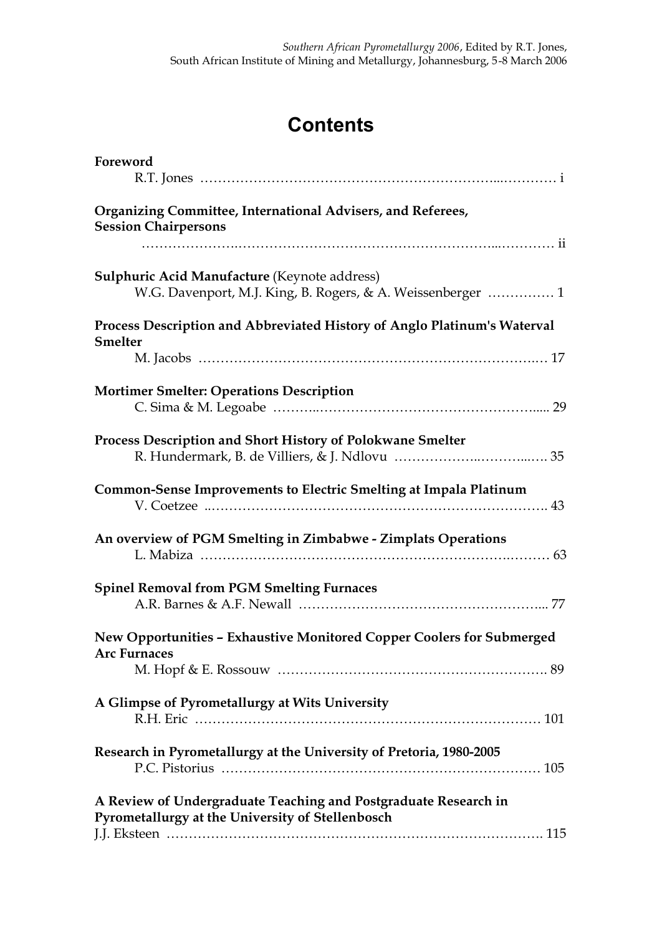## **Contents**

| Foreword                                                                                                            |
|---------------------------------------------------------------------------------------------------------------------|
| Organizing Committee, International Advisers, and Referees,<br><b>Session Chairpersons</b>                          |
| Sulphuric Acid Manufacture (Keynote address)<br>W.G. Davenport, M.J. King, B. Rogers, & A. Weissenberger  1         |
| Process Description and Abbreviated History of Anglo Platinum's Waterval<br><b>Smelter</b>                          |
| <b>Mortimer Smelter: Operations Description</b>                                                                     |
| Process Description and Short History of Polokwane Smelter                                                          |
| Common-Sense Improvements to Electric Smelting at Impala Platinum                                                   |
| An overview of PGM Smelting in Zimbabwe - Zimplats Operations                                                       |
| <b>Spinel Removal from PGM Smelting Furnaces</b>                                                                    |
| New Opportunities - Exhaustive Monitored Copper Coolers for Submerged<br><b>Arc Furnaces</b>                        |
| A Glimpse of Pyrometallurgy at Wits University                                                                      |
| Research in Pyrometallurgy at the University of Pretoria, 1980-2005                                                 |
| A Review of Undergraduate Teaching and Postgraduate Research in<br>Pyrometallurgy at the University of Stellenbosch |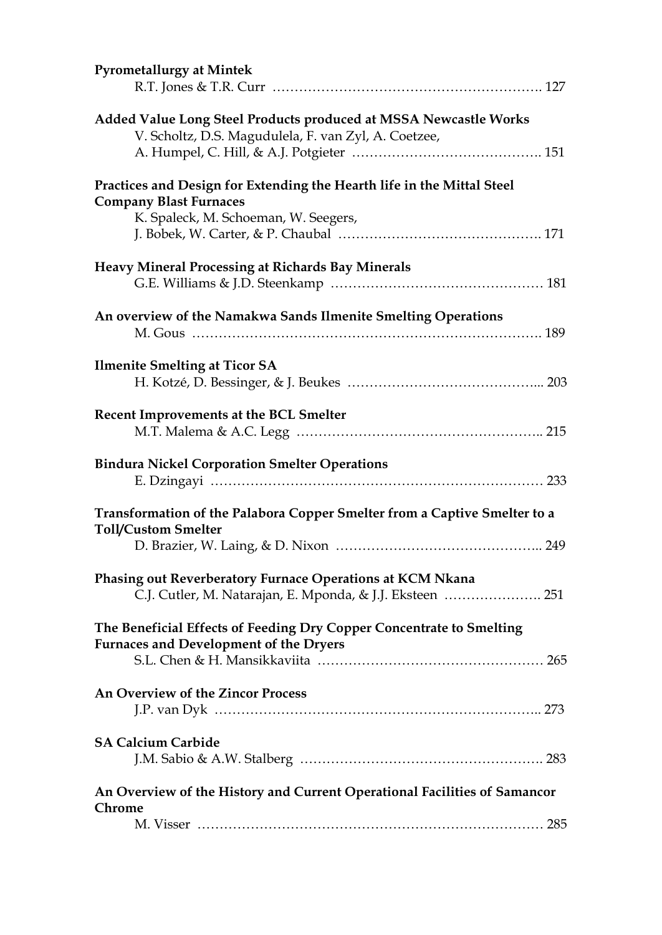| <b>Pyrometallurgy at Mintek</b>                                                                                                                 |
|-------------------------------------------------------------------------------------------------------------------------------------------------|
| Added Value Long Steel Products produced at MSSA Newcastle Works<br>V. Scholtz, D.S. Magudulela, F. van Zyl, A. Coetzee,                        |
| Practices and Design for Extending the Hearth life in the Mittal Steel<br><b>Company Blast Furnaces</b><br>K. Spaleck, M. Schoeman, W. Seegers, |
| <b>Heavy Mineral Processing at Richards Bay Minerals</b>                                                                                        |
| An overview of the Namakwa Sands Ilmenite Smelting Operations                                                                                   |
| <b>Ilmenite Smelting at Ticor SA</b>                                                                                                            |
| Recent Improvements at the BCL Smelter                                                                                                          |
| <b>Bindura Nickel Corporation Smelter Operations</b>                                                                                            |
| Transformation of the Palabora Copper Smelter from a Captive Smelter to a<br><b>Toll/Custom Smelter</b>                                         |
|                                                                                                                                                 |
| Phasing out Reverberatory Furnace Operations at KCM Nkana<br>C.J. Cutler, M. Natarajan, E. Mponda, & J.J. Eksteen  251                          |
| The Beneficial Effects of Feeding Dry Copper Concentrate to Smelting<br><b>Furnaces and Development of the Dryers</b>                           |
| An Overview of the Zincor Process                                                                                                               |
| <b>SA Calcium Carbide</b>                                                                                                                       |
| An Overview of the History and Current Operational Facilities of Samancor                                                                       |
| Chrome                                                                                                                                          |